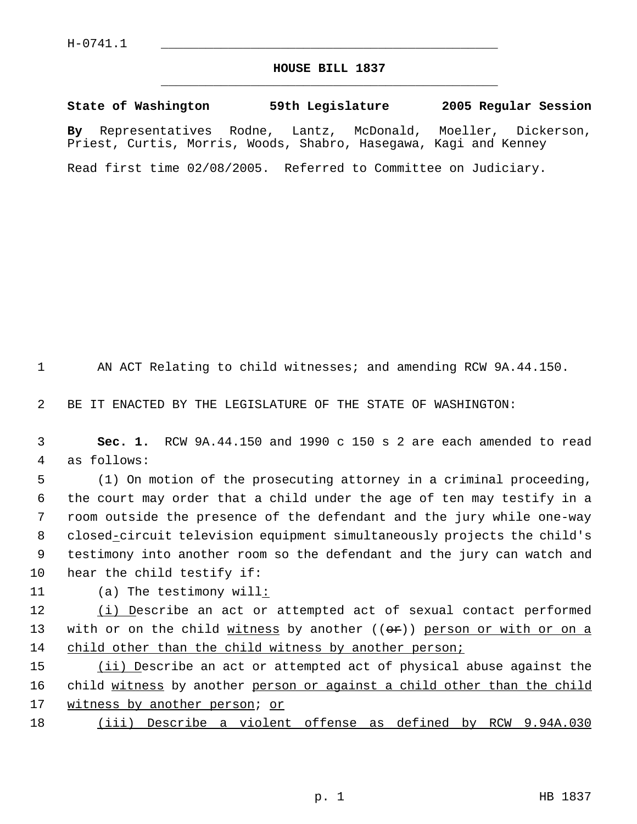## **HOUSE BILL 1837** \_\_\_\_\_\_\_\_\_\_\_\_\_\_\_\_\_\_\_\_\_\_\_\_\_\_\_\_\_\_\_\_\_\_\_\_\_\_\_\_\_\_\_\_\_

**State of Washington 59th Legislature 2005 Regular Session By** Representatives Rodne, Lantz, McDonald, Moeller, Dickerson, Priest, Curtis, Morris, Woods, Shabro, Hasegawa, Kagi and Kenney

Read first time 02/08/2005. Referred to Committee on Judiciary.

1 AN ACT Relating to child witnesses; and amending RCW 9A.44.150.

2 BE IT ENACTED BY THE LEGISLATURE OF THE STATE OF WASHINGTON:

 3 **Sec. 1.** RCW 9A.44.150 and 1990 c 150 s 2 are each amended to read 4 as follows:

 (1) On motion of the prosecuting attorney in a criminal proceeding, the court may order that a child under the age of ten may testify in a room outside the presence of the defendant and the jury while one-way 8 closed-circuit television equipment simultaneously projects the child's testimony into another room so the defendant and the jury can watch and hear the child testify if:

11 (a) The testimony will:

12 (i) Describe an act or attempted act of sexual contact performed 13 with or on the child  $w$ itness by another  $((\theta \oplus \theta))$  person or with or on a 14 child other than the child witness by another person;

15 (ii) Describe an act or attempted act of physical abuse against the 16 child witness by another person or against a child other than the child 17 witness by another person; or

18 (iii) Describe a violent offense as defined by RCW 9.94A.030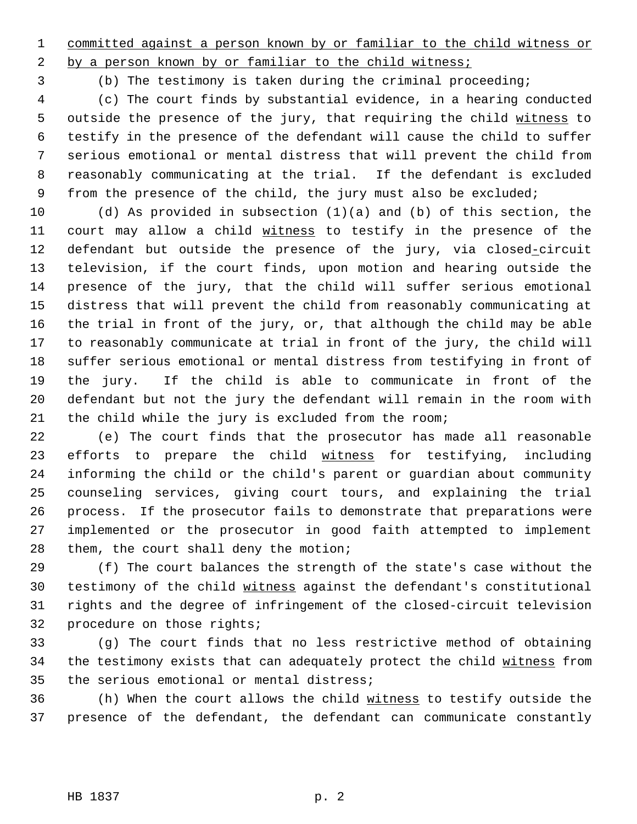committed against a person known by or familiar to the child witness or

2 by a person known by or familiar to the child witness;

(b) The testimony is taken during the criminal proceeding;

 (c) The court finds by substantial evidence, in a hearing conducted 5 outside the presence of the jury, that requiring the child witness to testify in the presence of the defendant will cause the child to suffer serious emotional or mental distress that will prevent the child from reasonably communicating at the trial. If the defendant is excluded from the presence of the child, the jury must also be excluded;

 (d) As provided in subsection (1)(a) and (b) of this section, the 11 court may allow a child witness to testify in the presence of the 12 defendant but outside the presence of the jury, via closed-circuit television, if the court finds, upon motion and hearing outside the presence of the jury, that the child will suffer serious emotional distress that will prevent the child from reasonably communicating at the trial in front of the jury, or, that although the child may be able to reasonably communicate at trial in front of the jury, the child will suffer serious emotional or mental distress from testifying in front of the jury. If the child is able to communicate in front of the defendant but not the jury the defendant will remain in the room with the child while the jury is excluded from the room;

 (e) The court finds that the prosecutor has made all reasonable 23 efforts to prepare the child witness for testifying, including informing the child or the child's parent or guardian about community counseling services, giving court tours, and explaining the trial process. If the prosecutor fails to demonstrate that preparations were implemented or the prosecutor in good faith attempted to implement them, the court shall deny the motion;

 (f) The court balances the strength of the state's case without the testimony of the child witness against the defendant's constitutional rights and the degree of infringement of the closed-circuit television procedure on those rights;

 (g) The court finds that no less restrictive method of obtaining 34 the testimony exists that can adequately protect the child witness from the serious emotional or mental distress;

 (h) When the court allows the child witness to testify outside the presence of the defendant, the defendant can communicate constantly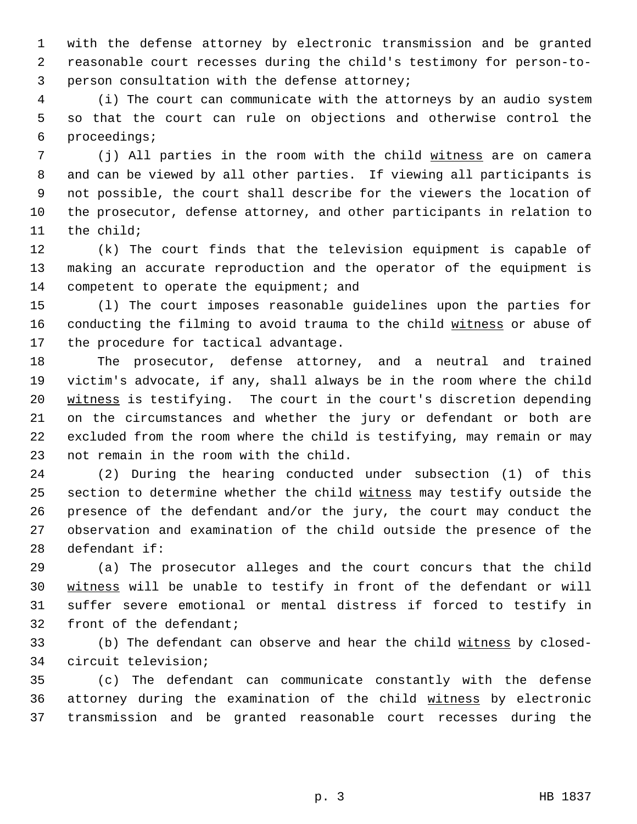with the defense attorney by electronic transmission and be granted reasonable court recesses during the child's testimony for person-to- person consultation with the defense attorney;

 (i) The court can communicate with the attorneys by an audio system so that the court can rule on objections and otherwise control the proceedings;

7 (j) All parties in the room with the child witness are on camera and can be viewed by all other parties. If viewing all participants is not possible, the court shall describe for the viewers the location of the prosecutor, defense attorney, and other participants in relation to the child;

 (k) The court finds that the television equipment is capable of making an accurate reproduction and the operator of the equipment is 14 competent to operate the equipment; and

 (l) The court imposes reasonable guidelines upon the parties for 16 conducting the filming to avoid trauma to the child witness or abuse of the procedure for tactical advantage.

 The prosecutor, defense attorney, and a neutral and trained victim's advocate, if any, shall always be in the room where the child 20 witness is testifying. The court in the court's discretion depending on the circumstances and whether the jury or defendant or both are excluded from the room where the child is testifying, may remain or may not remain in the room with the child.

 (2) During the hearing conducted under subsection (1) of this 25 section to determine whether the child witness may testify outside the presence of the defendant and/or the jury, the court may conduct the observation and examination of the child outside the presence of the defendant if:

 (a) The prosecutor alleges and the court concurs that the child witness will be unable to testify in front of the defendant or will suffer severe emotional or mental distress if forced to testify in front of the defendant;

33 (b) The defendant can observe and hear the child witness by closed-circuit television;

 (c) The defendant can communicate constantly with the defense attorney during the examination of the child witness by electronic transmission and be granted reasonable court recesses during the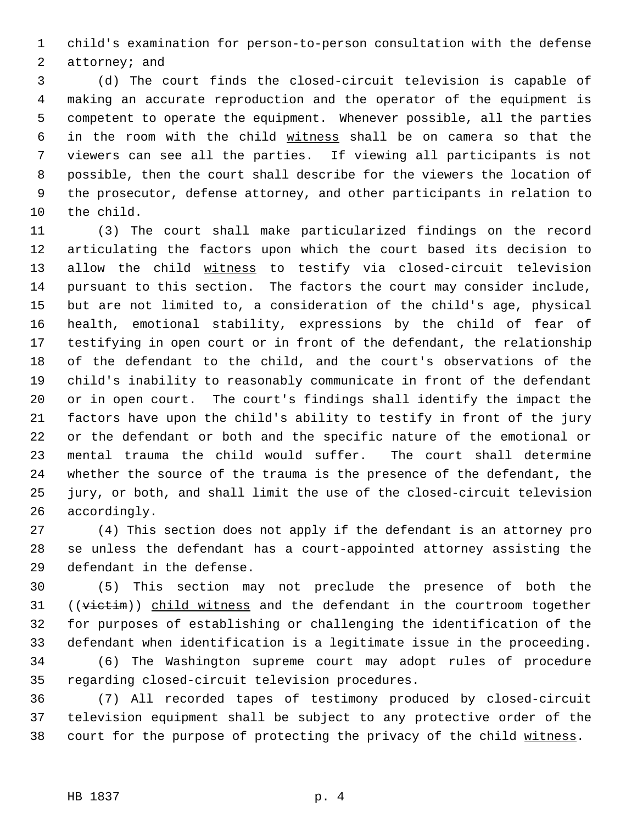child's examination for person-to-person consultation with the defense attorney; and

 (d) The court finds the closed-circuit television is capable of making an accurate reproduction and the operator of the equipment is competent to operate the equipment. Whenever possible, all the parties in the room with the child witness shall be on camera so that the viewers can see all the parties. If viewing all participants is not possible, then the court shall describe for the viewers the location of the prosecutor, defense attorney, and other participants in relation to the child.

 (3) The court shall make particularized findings on the record articulating the factors upon which the court based its decision to 13 allow the child witness to testify via closed-circuit television pursuant to this section. The factors the court may consider include, but are not limited to, a consideration of the child's age, physical health, emotional stability, expressions by the child of fear of testifying in open court or in front of the defendant, the relationship of the defendant to the child, and the court's observations of the child's inability to reasonably communicate in front of the defendant or in open court. The court's findings shall identify the impact the factors have upon the child's ability to testify in front of the jury or the defendant or both and the specific nature of the emotional or mental trauma the child would suffer. The court shall determine whether the source of the trauma is the presence of the defendant, the jury, or both, and shall limit the use of the closed-circuit television accordingly.

 (4) This section does not apply if the defendant is an attorney pro se unless the defendant has a court-appointed attorney assisting the defendant in the defense.

 (5) This section may not preclude the presence of both the 31 ((victim)) child witness and the defendant in the courtroom together for purposes of establishing or challenging the identification of the defendant when identification is a legitimate issue in the proceeding.

 (6) The Washington supreme court may adopt rules of procedure regarding closed-circuit television procedures.

 (7) All recorded tapes of testimony produced by closed-circuit television equipment shall be subject to any protective order of the 38 court for the purpose of protecting the privacy of the child witness.